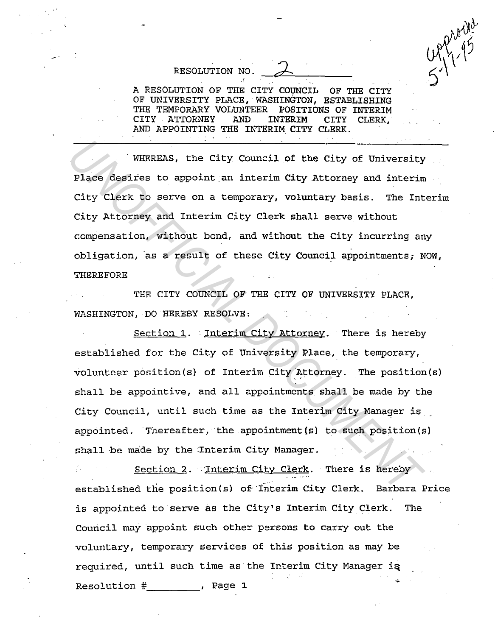A RESOLUTION OF THE CITY COUNCIL OF THE CITY OF UNIVERSITY PLACE, WASHINGTON, ESTABLISHING THE TEMPORARY VOLUNTEER POSITIONS OF INTERIM CITY ATTORNEY AND. INTERIM CITY CLERK, AND APPOINTING THE INTERIM CITY CLERK.

RESOLUTION NO.

WHEREAS, the City Council of the City of University Place desires to appoint an interim City Attorney and interim City Clerk to serve on a temporary, voluntary basis. The Interim City Attorney and Interim City Clerk shall serve without compensation, without bond, and without the City incurring any obligation, as a result of these City Council appointments; NOW, THEREFORE

THE CITY COUNCIL OF THE CITY OF UNIVERSITY PLACE, WASHINGTON, DO HEREBY RESOLVE:

Section 1. Interim City Attorney. There is hereby established for the City of University Place, the temporary, volunteer position(s) of Interim City Attorney. The position(s) shall be appointive, and all appointments shall be made by the City Council, until such time as the Interim City Manager is \_ appointed. Thereafter, the appointment(s} to such position(s) shall be made by the Interim City Manager. WHEREAS, the City Council of the City of University<br>Place desires to appoint an interim City Attorney and interim<br>City Clerk to serve on a temporary, voluntary basis. The Int<br>City Attorney and Interim City Clerk shall serv

Section 2. Interim City Clerk. There is hereby established the position(s) of·fnterim City Clerk. Barbara Price is appointed to serve as the City's Interim. City Clerk. The Council may appoint such other persons to carry out the voluntary, temporary services of this position as may be required, until such time as the Interim City Manager is Resolution  $#$   $\ldots$  Page 1